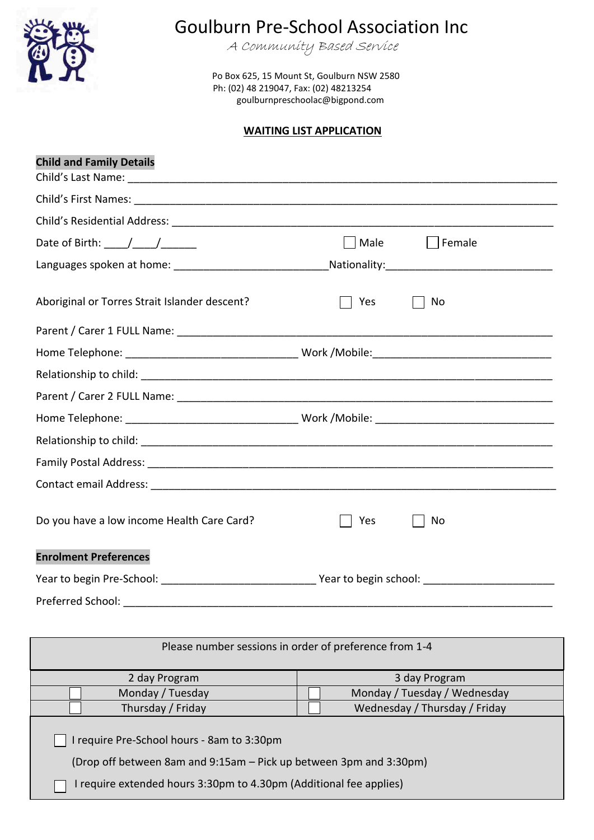

## Goulburn Pre-School Association Inc

A Community Based Service

 Po Box 625, 15 Mount St, Goulburn NSW 2580 Ph: (02) 48 219047, Fax: (02) 48213254 goulburnpreschoolac@bigpond.com

## **WAITING LIST APPLICATION**

| <b>Child and Family Details</b>                                                                                                                                                                                                                                                                                    |      |                           |
|--------------------------------------------------------------------------------------------------------------------------------------------------------------------------------------------------------------------------------------------------------------------------------------------------------------------|------|---------------------------|
|                                                                                                                                                                                                                                                                                                                    |      |                           |
|                                                                                                                                                                                                                                                                                                                    |      |                           |
| Date of Birth: $\frac{1}{2}$ $\frac{1}{2}$ $\frac{1}{2}$ $\frac{1}{2}$ $\frac{1}{2}$ $\frac{1}{2}$ $\frac{1}{2}$ $\frac{1}{2}$ $\frac{1}{2}$ $\frac{1}{2}$ $\frac{1}{2}$ $\frac{1}{2}$ $\frac{1}{2}$ $\frac{1}{2}$ $\frac{1}{2}$ $\frac{1}{2}$ $\frac{1}{2}$ $\frac{1}{2}$ $\frac{1}{2}$ $\frac{1}{2}$ $\frac{1}{$ | Male | Female                    |
|                                                                                                                                                                                                                                                                                                                    |      | Nationality: Nationality: |
| Aboriginal or Torres Strait Islander descent?                                                                                                                                                                                                                                                                      | Yes  | No                        |
|                                                                                                                                                                                                                                                                                                                    |      |                           |
|                                                                                                                                                                                                                                                                                                                    |      |                           |
|                                                                                                                                                                                                                                                                                                                    |      |                           |
|                                                                                                                                                                                                                                                                                                                    |      |                           |
|                                                                                                                                                                                                                                                                                                                    |      |                           |
|                                                                                                                                                                                                                                                                                                                    |      |                           |
|                                                                                                                                                                                                                                                                                                                    |      |                           |
|                                                                                                                                                                                                                                                                                                                    |      |                           |
| Do you have a low income Health Care Card?                                                                                                                                                                                                                                                                         | Yes  | No                        |
| <b>Enrolment Preferences</b>                                                                                                                                                                                                                                                                                       |      |                           |
|                                                                                                                                                                                                                                                                                                                    |      |                           |
| Preferred School:                                                                                                                                                                                                                                                                                                  |      |                           |

| Please number sessions in order of preference from 1-4                                                           |                               |  |
|------------------------------------------------------------------------------------------------------------------|-------------------------------|--|
| 2 day Program                                                                                                    | 3 day Program                 |  |
| Monday / Tuesday                                                                                                 | Monday / Tuesday / Wednesday  |  |
| Thursday / Friday                                                                                                | Wednesday / Thursday / Friday |  |
| I require Pre-School hours - 8am to 3:30pm<br>(Drop off between 8am and 9:15am – Pick up between 3pm and 3:30pm) |                               |  |
| I require extended hours 3:30pm to 4.30pm (Additional fee applies)                                               |                               |  |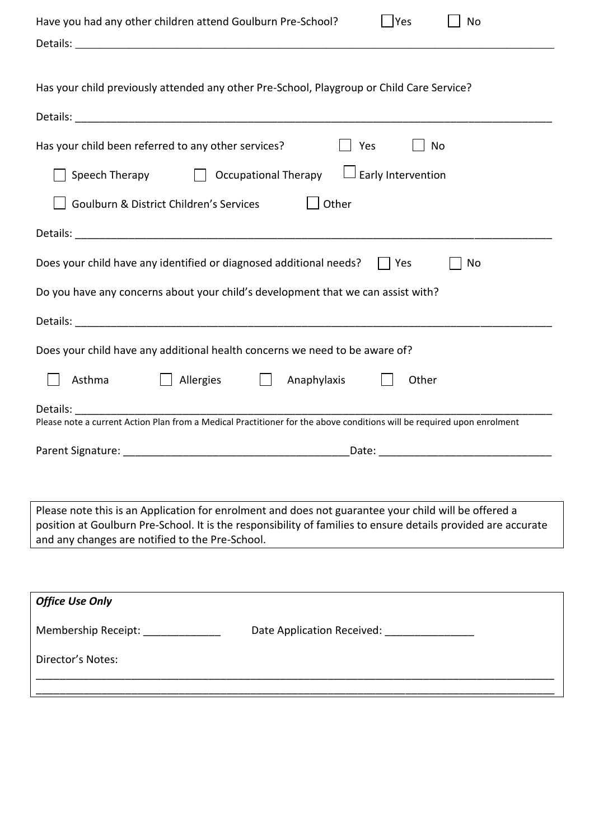| Yes<br>Have you had any other children attend Goulburn Pre-School?<br>No<br>Details: <u>New York: New York: New York: New York: New York: New York: New York: New York: New York: New York: New York: New York: New York: New York: New York: New York: New York: New York: New York: New York: New York: Ne</u> |  |  |  |  |
|------------------------------------------------------------------------------------------------------------------------------------------------------------------------------------------------------------------------------------------------------------------------------------------------------------------|--|--|--|--|
| Has your child previously attended any other Pre-School, Playgroup or Child Care Service?                                                                                                                                                                                                                        |  |  |  |  |
|                                                                                                                                                                                                                                                                                                                  |  |  |  |  |
| Has your child been referred to any other services?<br>Yes<br>No                                                                                                                                                                                                                                                 |  |  |  |  |
| Speech Therapy $\Box$ Occupational Therapy $\Box$ Early Intervention                                                                                                                                                                                                                                             |  |  |  |  |
| Other<br>Goulburn & District Children's Services                                                                                                                                                                                                                                                                 |  |  |  |  |
|                                                                                                                                                                                                                                                                                                                  |  |  |  |  |
| Does your child have any identified or diagnosed additional needs? $\vert \vert$ Yes<br>No                                                                                                                                                                                                                       |  |  |  |  |
| Do you have any concerns about your child's development that we can assist with?                                                                                                                                                                                                                                 |  |  |  |  |
|                                                                                                                                                                                                                                                                                                                  |  |  |  |  |
| Does your child have any additional health concerns we need to be aware of?                                                                                                                                                                                                                                      |  |  |  |  |
| Asthma<br>Allergies    <br>Anaphylaxis<br>Other                                                                                                                                                                                                                                                                  |  |  |  |  |
| Details: <b>Example</b><br>Please note a current Action Plan from a Medical Practitioner for the above conditions will be required upon enrolment                                                                                                                                                                |  |  |  |  |
|                                                                                                                                                                                                                                                                                                                  |  |  |  |  |
|                                                                                                                                                                                                                                                                                                                  |  |  |  |  |
|                                                                                                                                                                                                                                                                                                                  |  |  |  |  |
| Please note this is an Application for enrolment and does not guarantee your child will be offered a<br>position at Goulburn Pre-School. It is the responsibility of families to ensure details provided are accurate<br>and any changes are notified to the Pre-School.                                         |  |  |  |  |
|                                                                                                                                                                                                                                                                                                                  |  |  |  |  |
| <b>Office Use Only</b>                                                                                                                                                                                                                                                                                           |  |  |  |  |
| Date Application Received: __________________<br>Membership Receipt: _____________                                                                                                                                                                                                                               |  |  |  |  |
| Director's Notes:                                                                                                                                                                                                                                                                                                |  |  |  |  |
|                                                                                                                                                                                                                                                                                                                  |  |  |  |  |